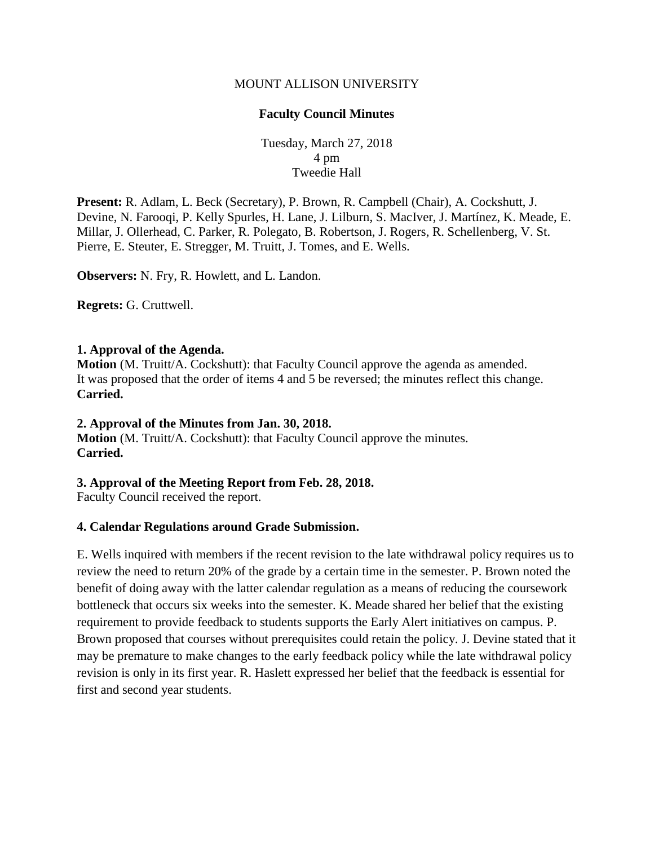### MOUNT ALLISON UNIVERSITY

### **Faculty Council Minutes**

Tuesday, March 27, 2018 4 pm Tweedie Hall

**Present:** R. Adlam, L. Beck (Secretary), P. Brown, R. Campbell (Chair), A. Cockshutt, J. Devine, N. Farooqi, P. Kelly Spurles, H. Lane, J. Lilburn, S. MacIver, J. Martínez, K. Meade, E. Millar, J. Ollerhead, C. Parker, R. Polegato, B. Robertson, J. Rogers, R. Schellenberg, V. St. Pierre, E. Steuter, E. Stregger, M. Truitt, J. Tomes, and E. Wells.

**Observers:** N. Fry, R. Howlett, and L. Landon.

**Regrets:** G. Cruttwell.

#### **1. Approval of the Agenda.**

**Motion** (M. Truitt/A. Cockshutt): that Faculty Council approve the agenda as amended. It was proposed that the order of items 4 and 5 be reversed; the minutes reflect this change. **Carried.**

#### **2. Approval of the Minutes from Jan. 30, 2018.**

**Motion** (M. Truitt/A. Cockshutt): that Faculty Council approve the minutes. **Carried.**

## **3. Approval of the Meeting Report from Feb. 28, 2018.**

Faculty Council received the report.

## **4. Calendar Regulations around Grade Submission.**

E. Wells inquired with members if the recent revision to the late withdrawal policy requires us to review the need to return 20% of the grade by a certain time in the semester. P. Brown noted the benefit of doing away with the latter calendar regulation as a means of reducing the coursework bottleneck that occurs six weeks into the semester. K. Meade shared her belief that the existing requirement to provide feedback to students supports the Early Alert initiatives on campus. P. Brown proposed that courses without prerequisites could retain the policy. J. Devine stated that it may be premature to make changes to the early feedback policy while the late withdrawal policy revision is only in its first year. R. Haslett expressed her belief that the feedback is essential for first and second year students.